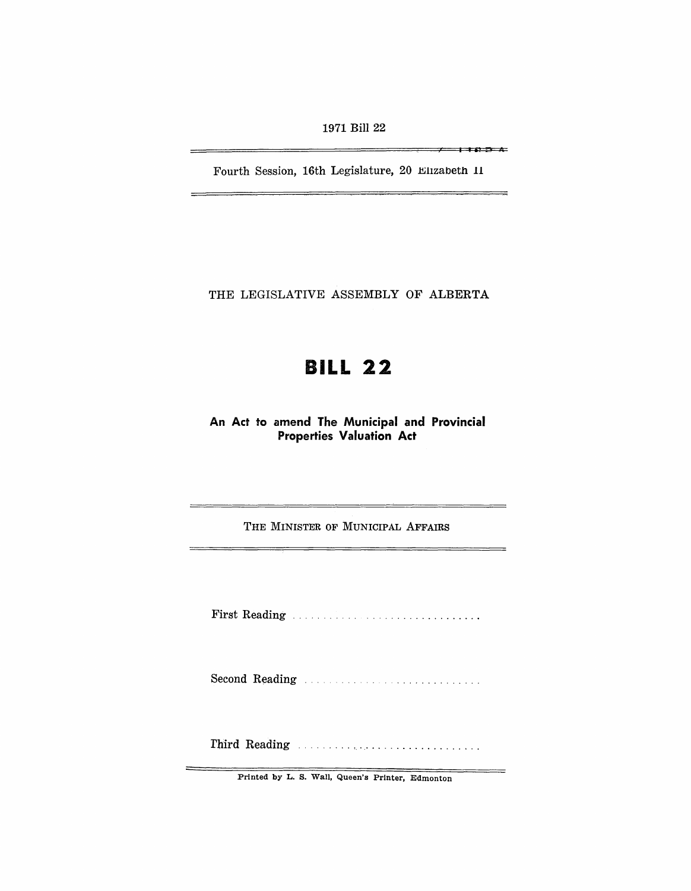1971 Bill 22

 $\overline{\phantom{0}}$   $\overline{\phantom{0}}$   $\overline{\phantom{0}}$   $\overline{\phantom{0}}$   $\overline{\phantom{0}}$   $\overline{\phantom{0}}$   $\overline{\phantom{0}}$   $\overline{\phantom{0}}$   $\overline{\phantom{0}}$   $\overline{\phantom{0}}$   $\overline{\phantom{0}}$   $\overline{\phantom{0}}$   $\overline{\phantom{0}}$   $\overline{\phantom{0}}$   $\overline{\phantom{0}}$   $\overline{\phantom{0}}$   $\overline{\phantom{0}}$   $\overline{\phantom{0}}$   $\overline{\$ 

—

Fourth Session, 16th Legislature, 20 Elizabeth 11

THE LEGISLATIVE ASSEMBLY OF ALBERTA

# BILL 22

An Act to amend The Municipal and Provincial Properties Valuation Act

THE MINISTER OF MUNICIPAL AFFAIRS

First Reading . . . . . . . . . .. . ................. .

Second R~ading ..

rhird Reading ......... , .................... .

Printed by L. S. Wall, Queen's Printer, Edmonton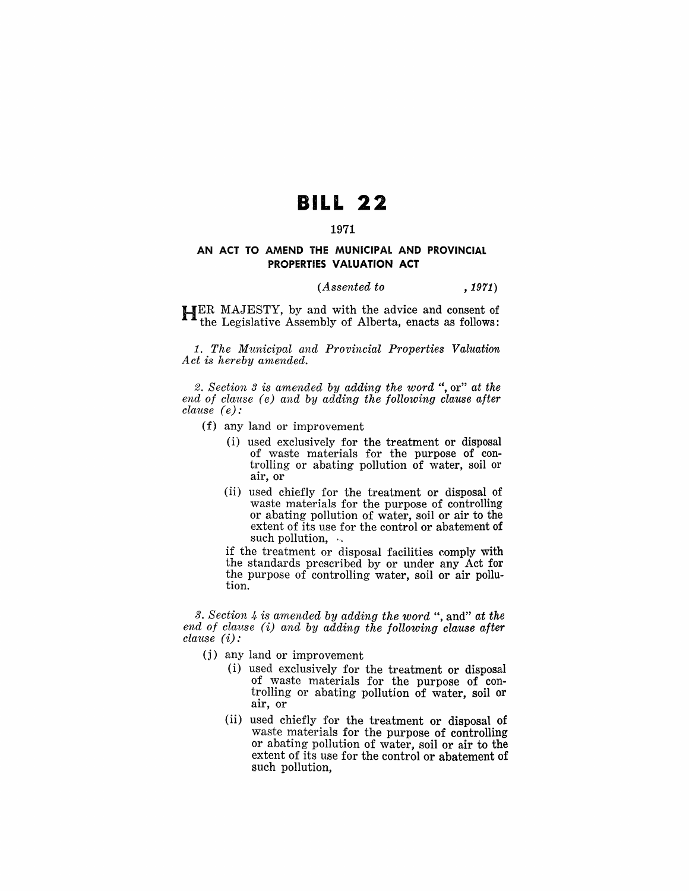## **BILL 22**

#### 1971

#### **AN ACT TO AMEND THE MUNICIPAL AND PROVINCIAL PROPERTIES VALUATION ACT**

#### *(Assented to* , 1971)

HER MAJESTY, by and with the advice and consent of the Legislative Assembly of Alberta, enacts as follows:

1. *The Municipal and Provincial Properties Valuation Act is hereby amended.* 

*2. Section* 3 *is amended by adding the word* ", or" *at the end of clause* ( *e) and by adding the following clause after clause (e):* 

- (f) any land or improvement
	- (i) used exclusively for the treatment or disposal of waste materials for the purpose of controlling or abating pollution of water, soil or air, or
	- (ii) used chiefly for the treatment or disposal of waste materials for the purpose of controlling or abating pollution of water, soil or air to the extent of its use for the control or abatement of such pollution,  $\sim$

if the treatment or disposal facilities comply with the standards prescribed by or under any Act for the purpose of controlling water, soil or air pollu- tion.

3. *Section* 4- *is amended by adding the word* ", and" *at the end of clause* (i) *and by adding the following clause after clause* (i):

- (j) any land or improvement
	- (i) used exclusively for the treatment or disposal of waste materials for the purpose of controlling or abating pollution of water, soil or air, or
	- (ii) used chiefly for the treatment or disposal of waste materials for the purpose of controlling or abating pollution of water, soil or air to the extent of its use for the control or abatement of such pollution,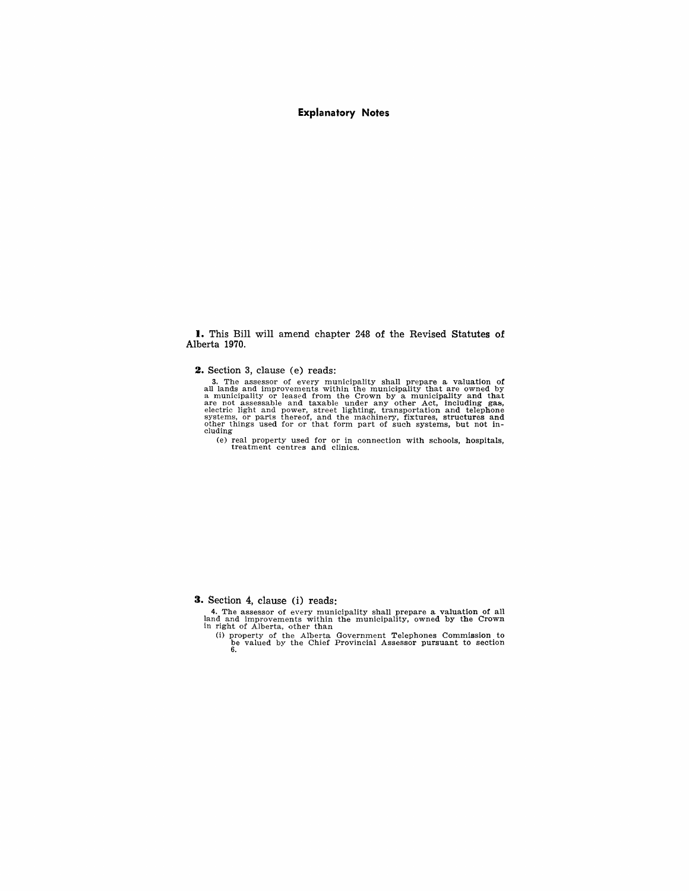#### **Explanatory Notes**

**I.** This Bill will amend chapter 248 of the Revised Statutes of Alberta 1970.

**2.** Section 3, clause (e) reads:

3. The assessor of every municipality shall prepare a valuation of all lands and improvements within the municipality that are owned by a municipality and that are not assessable and taxable under any other Act, including

(e) real property used for or in connection with schools, hospitals, treatment centres and clinics.

**3.** Section 4, clause (i) reads:

4. The assessor of every municipality shall prepare a valuation of all land and improvements within the municipality, owned by the Crown in right of Alberta, other than

(i) property of the Alberta Government Telephones Commission to be valued by the Chief Provincial Assessor pursuant to section 6.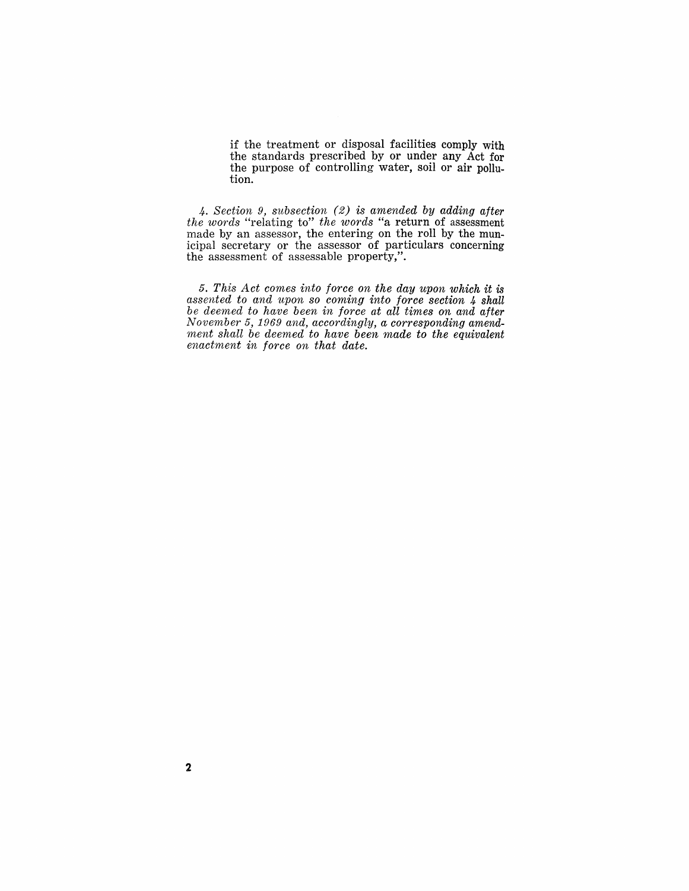if the treatment or disposal facilities comply with the standards prescribed by or under any Act for the purpose of controlling water, soil or air pollution.

*4. Section* 9, *subsection* (2) *is amended by adding after the words* "relating to" *the words* "a return of assessment made by an assessor, the entering on the roll by the municipal secretary or the assessor of particulars concerning the assessment of assessable property,".

*5. This Act comes into force on the day upon which it is assented to and upon so coming into force section* 4 *shall be deemed to have been in force at all times on and after November* 5, 1969 *and, accordingly, a corresponding amendment shall be deemed to have been made to the equivalent enactment in force on that date.*